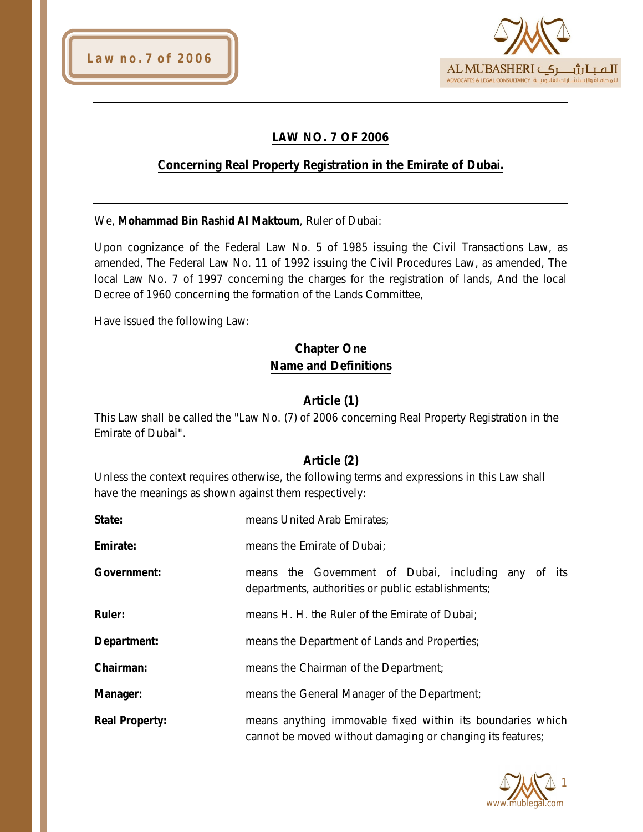



## **LAW NO. 7 OF 2006**

### **Concerning Real Property Registration in the Emirate of Dubai.**

We, **Mohammad Bin Rashid Al Maktoum**, Ruler of Dubai:

Upon cognizance of the Federal Law No. 5 of 1985 issuing the Civil Transactions Law, as amended, The Federal Law No. 11 of 1992 issuing the Civil Procedures Law, as amended, The local Law No. 7 of 1997 concerning the charges for the registration of lands, And the local Decree of 1960 concerning the formation of the Lands Committee,

Have issued the following Law:

## **Chapter One Name and Definitions**

### **Article (1)**

This Law shall be called the "Law No. (7) of 2006 concerning Real Property Registration in the Emirate of Dubai".

#### **Article (2)**

Unless the context requires otherwise, the following terms and expressions in this Law shall have the meanings as shown against them respectively:

| State:                | means United Arab Emirates;                                                                                              |
|-----------------------|--------------------------------------------------------------------------------------------------------------------------|
| Emirate:              | means the Emirate of Dubai;                                                                                              |
| <b>Government:</b>    | means the Government of Dubai, including any of its<br>departments, authorities or public establishments;                |
| <b>Ruler:</b>         | means H. H. the Ruler of the Emirate of Dubai;                                                                           |
| Department:           | means the Department of Lands and Properties;                                                                            |
| Chairman:             | means the Chairman of the Department;                                                                                    |
| Manager:              | means the General Manager of the Department;                                                                             |
| <b>Real Property:</b> | means anything immovable fixed within its boundaries which<br>cannot be moved without damaging or changing its features; |

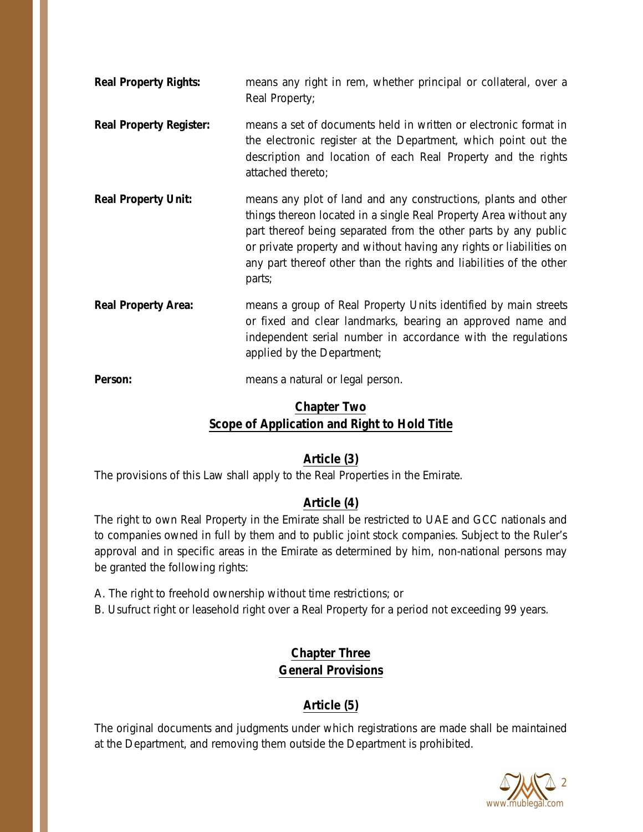| <b>Real Property Rights:</b>   | means any right in rem, whether principal or collateral, over a<br>Real Property;                                                                                                                                                                                                                                                                              |
|--------------------------------|----------------------------------------------------------------------------------------------------------------------------------------------------------------------------------------------------------------------------------------------------------------------------------------------------------------------------------------------------------------|
| <b>Real Property Register:</b> | means a set of documents held in written or electronic format in<br>the electronic register at the Department, which point out the<br>description and location of each Real Property and the rights<br>attached thereto;                                                                                                                                       |
| <b>Real Property Unit:</b>     | means any plot of land and any constructions, plants and other<br>things thereon located in a single Real Property Area without any<br>part thereof being separated from the other parts by any public<br>or private property and without having any rights or liabilities on<br>any part thereof other than the rights and liabilities of the other<br>parts; |
| <b>Real Property Area:</b>     | means a group of Real Property Units identified by main streets<br>or fixed and clear landmarks, bearing an approved name and<br>independent serial number in accordance with the regulations<br>applied by the Department;                                                                                                                                    |
| Person:                        | means a natural or legal person.                                                                                                                                                                                                                                                                                                                               |

# **Chapter Two Scope of Application and Right to Hold Title**

## **Article (3)**

The provisions of this Law shall apply to the Real Properties in the Emirate.

## **Article (4)**

The right to own Real Property in the Emirate shall be restricted to UAE and GCC nationals and to companies owned in full by them and to public joint stock companies. Subject to the Ruler's approval and in specific areas in the Emirate as determined by him, non-national persons may be granted the following rights:

- A. The right to freehold ownership without time restrictions; or
- B. Usufruct right or leasehold right over a Real Property for a period not exceeding 99 years.

## **Chapter Three General Provisions**

## **Article (5)**

The original documents and judgments under which registrations are made shall be maintained at the Department, and removing them outside the Department is prohibited.

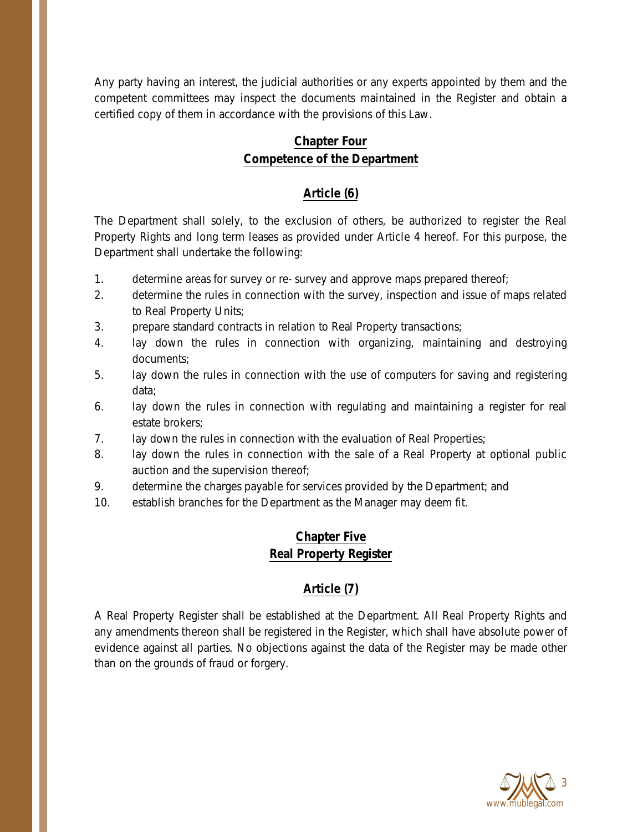Any party having an interest, the judicial authorities or any experts appointed by them and the competent committees may inspect the documents maintained in the Register and obtain a certified copy of them in accordance with the provisions of this Law.

## **Chapter Four Competence of the Department**

### **Article (6)**

The Department shall solely, to the exclusion of others, be authorized to register the Real Property Rights and long term leases as provided under Article 4 hereof. For this purpose, the Department shall undertake the following:

- 1. determine areas for survey or re- survey and approve maps prepared thereof;
- 2. determine the rules in connection with the survey, inspection and issue of maps related to Real Property Units;
- 3. prepare standard contracts in relation to Real Property transactions;
- 4. lay down the rules in connection with organizing, maintaining and destroying documents;
- 5. lay down the rules in connection with the use of computers for saving and registering data;
- 6. lay down the rules in connection with regulating and maintaining a register for real estate brokers;
- 7. Iay down the rules in connection with the evaluation of Real Properties;
- 8. lay down the rules in connection with the sale of a Real Property at optional public auction and the supervision thereof;
- 9. determine the charges payable for services provided by the Department; and
- 10. establish branches for the Department as the Manager may deem fit.

## **Chapter Five Real Property Register**

## **Article (7)**

A Real Property Register shall be established at the Department. All Real Property Rights and any amendments thereon shall be registered in the Register, which shall have absolute power of evidence against all parties. No objections against the data of the Register may be made other than on the grounds of fraud or forgery.

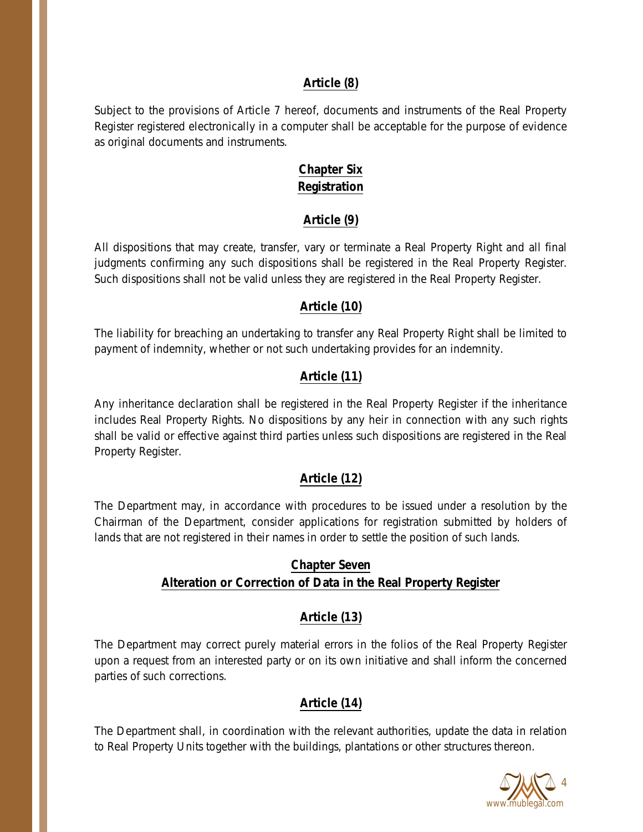#### **Article (8)**

Subject to the provisions of Article 7 hereof, documents and instruments of the Real Property Register registered electronically in a computer shall be acceptable for the purpose of evidence as original documents and instruments.

### **Chapter Six Registration**

### **Article (9)**

All dispositions that may create, transfer, vary or terminate a Real Property Right and all final judgments confirming any such dispositions shall be registered in the Real Property Register. Such dispositions shall not be valid unless they are registered in the Real Property Register.

### **Article (10)**

The liability for breaching an undertaking to transfer any Real Property Right shall be limited to payment of indemnity, whether or not such undertaking provides for an indemnity.

### **Article (11)**

Any inheritance declaration shall be registered in the Real Property Register if the inheritance includes Real Property Rights. No dispositions by any heir in connection with any such rights shall be valid or effective against third parties unless such dispositions are registered in the Real Property Register.

### **Article (12)**

The Department may, in accordance with procedures to be issued under a resolution by the Chairman of the Department, consider applications for registration submitted by holders of lands that are not registered in their names in order to settle the position of such lands.

### **Chapter Seven Alteration or Correction of Data in the Real Property Register**

### **Article (13)**

The Department may correct purely material errors in the folios of the Real Property Register upon a request from an interested party or on its own initiative and shall inform the concerned parties of such corrections.

### **Article (14)**

The Department shall, in coordination with the relevant authorities, update the data in relation to Real Property Units together with the buildings, plantations or other structures thereon.

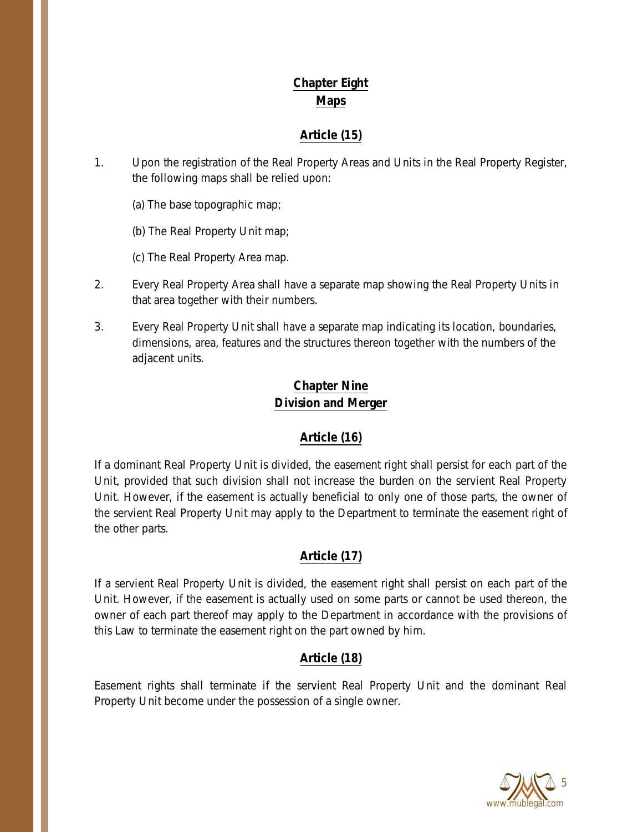# **Chapter Eight Maps**

## **Article (15)**

- 1. Upon the registration of the Real Property Areas and Units in the Real Property Register, the following maps shall be relied upon:
	- (a) The base topographic map;
	- (b) The Real Property Unit map;
	- (c) The Real Property Area map.
- 2. Every Real Property Area shall have a separate map showing the Real Property Units in that area together with their numbers.
- 3. Every Real Property Unit shall have a separate map indicating its location, boundaries, dimensions, area, features and the structures thereon together with the numbers of the adjacent units.

## **Chapter Nine Division and Merger**

# **Article (16)**

If a dominant Real Property Unit is divided, the easement right shall persist for each part of the Unit, provided that such division shall not increase the burden on the servient Real Property Unit. However, if the easement is actually beneficial to only one of those parts, the owner of the servient Real Property Unit may apply to the Department to terminate the easement right of the other parts.

## **Article (17)**

If a servient Real Property Unit is divided, the easement right shall persist on each part of the Unit. However, if the easement is actually used on some parts or cannot be used thereon, the owner of each part thereof may apply to the Department in accordance with the provisions of this Law to terminate the easement right on the part owned by him.

## **Article (18)**

Easement rights shall terminate if the servient Real Property Unit and the dominant Real Property Unit become under the possession of a single owner.

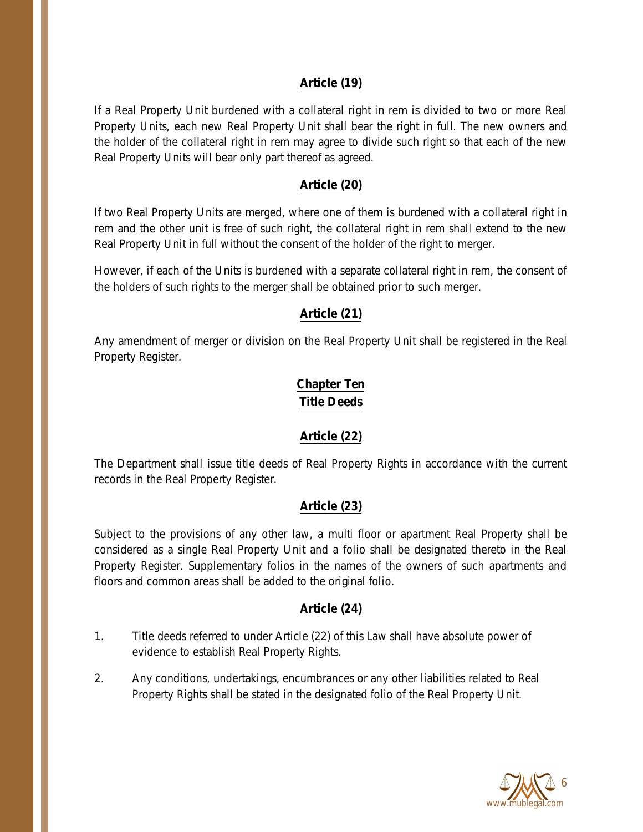### **Article (19)**

If a Real Property Unit burdened with a collateral right in rem is divided to two or more Real Property Units, each new Real Property Unit shall bear the right in full. The new owners and the holder of the collateral right in rem may agree to divide such right so that each of the new Real Property Units will bear only part thereof as agreed.

### **Article (20)**

If two Real Property Units are merged, where one of them is burdened with a collateral right in rem and the other unit is free of such right, the collateral right in rem shall extend to the new Real Property Unit in full without the consent of the holder of the right to merger.

However, if each of the Units is burdened with a separate collateral right in rem, the consent of the holders of such rights to the merger shall be obtained prior to such merger.

### **Article (21)**

Any amendment of merger or division on the Real Property Unit shall be registered in the Real Property Register.

## **Chapter Ten Title Deeds**

### **Article (22)**

The Department shall issue title deeds of Real Property Rights in accordance with the current records in the Real Property Register.

### **Article (23)**

Subject to the provisions of any other law, a multi floor or apartment Real Property shall be considered as a single Real Property Unit and a folio shall be designated thereto in the Real Property Register. Supplementary folios in the names of the owners of such apartments and floors and common areas shall be added to the original folio.

### **Article (24)**

- 1. Title deeds referred to under Article (22) of this Law shall have absolute power of evidence to establish Real Property Rights.
- 2. Any conditions, undertakings, encumbrances or any other liabilities related to Real Property Rights shall be stated in the designated folio of the Real Property Unit.